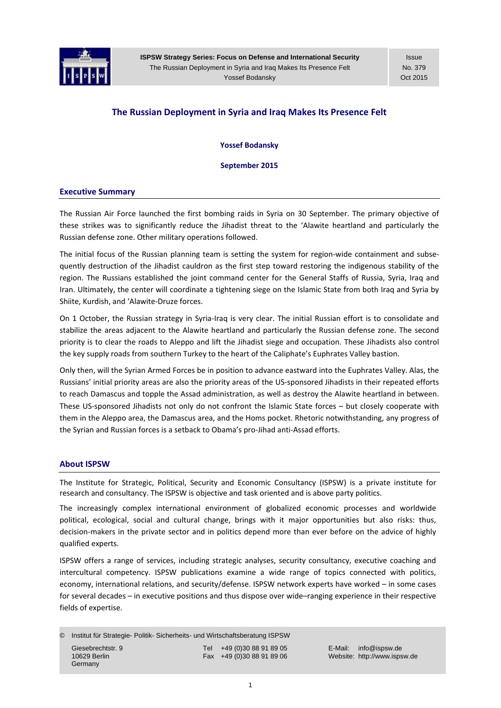

Issue No. 379 Oct 2015

# **The Russian Deployment in Syria and Iraq Makes Its Presence Felt**

**Yossef Bodansky**

**September 2015**

### **Executive Summary**

The Russian Air Force launched the first bombing raids in Syria on 30 September. The primary objective of these strikes was to significantly reduce the Jihadist threat to the 'Alawite heartland and particularly the Russian defense zone. Other military operations followed.

The initial focus of the Russian planning team is setting the system for region-wide containment and subsequently destruction of the Jihadist cauldron as the first step toward restoring the indigenous stability of the region. The Russians established the joint command center for the General Staffs of Russia, Syria, Iraq and Iran. Ultimately, the center will coordinate a tightening siege on the Islamic State from both Iraq and Syria by Shiite, Kurdish, and 'Alawite‐Druze forces.

On 1 October, the Russian strategy in Syria‐Iraq is very clear. The initial Russian effort is to consolidate and stabilize the areas adjacent to the Alawite heartland and particularly the Russian defense zone. The second priority is to clear the roads to Aleppo and lift the Jihadist siege and occupation. These Jihadists also control the key supply roads from southern Turkey to the heart of the Caliphate's Euphrates Valley bastion.

Only then, will the Syrian Armed Forces be in position to advance eastward into the Euphrates Valley. Alas, the Russians' initial priority areas are also the priority areas of the US‐sponsored Jihadists in their repeated efforts to reach Damascus and topple the Assad administration, as well as destroy the Alawite heartland in between. These US‐sponsored Jihadists not only do not confront the Islamic State forces – but closely cooperate with them in the Aleppo area, the Damascus area, and the Homs pocket. Rhetoric notwithstanding, any progress of the Syrian and Russian forces is a setback to Obama's pro‐Jihad anti‐Assad efforts.

#### **About ISPSW**

The Institute for Strategic, Political, Security and Economic Consultancy (ISPSW) is a private institute for research and consultancy. The ISPSW is objective and task oriented and is above party politics.

The increasingly complex international environment of globalized economic processes and worldwide political, ecological, social and cultural change, brings with it major opportunities but also risks: thus, decision-makers in the private sector and in politics depend more than ever before on the advice of highly qualified experts.

ISPSW offers a range of services, including strategic analyses, security consultancy, executive coaching and intercultural competency. ISPSW publications examine a wide range of topics connected with politics, economy, international relations, and security/defense. ISPSW network experts have worked – in some cases for several decades – in executive positions and thus dispose over wide–ranging experience in their respective fields of expertise.

© Institut für Strategie- Politik- Sicherheits- und Wirtschaftsberatung ISPSW Giesebrechtstr. 9 Tel +49 (0)30 88 91 89 05 E-Mail: info@ispsw.de<br>10629 Berlin 10629 Berlin Communication Care +49 (0)30 88 91 89 06 Website: http://www.isps Germany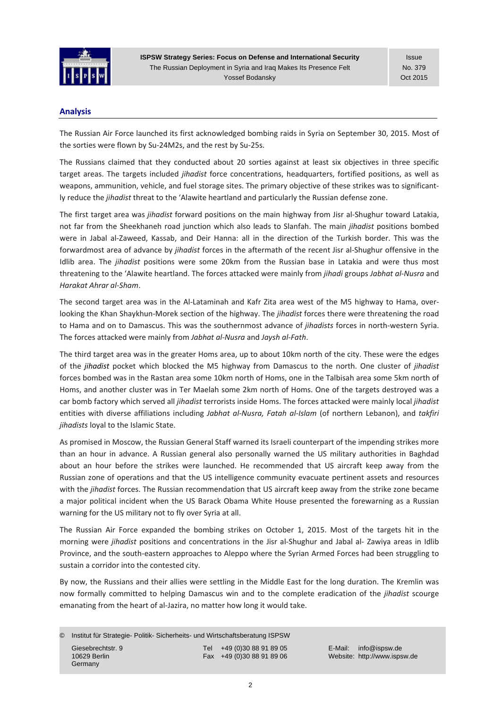

Issue No. 379 Oct 2015

# **Analysis**

The Russian Air Force launched its first acknowledged bombing raids in Syria on September 30, 2015. Most of the sorties were flown by Su‐24M2s, and the rest by Su‐25s.

The Russians claimed that they conducted about 20 sorties against at least six objectives in three specific target areas. The targets included *jihadist* force concentrations, headquarters, fortified positions, as well as weapons, ammunition, vehicle, and fuel storage sites. The primary objective of these strikes was to significantly reduce the *jihadist* threat to the 'Alawite heartland and particularly the Russian defense zone.

The first target area was *jihadist* forward positions on the main highway from Jisr al‐Shughur toward Latakia, not far from the Sheekhaneh road junction which also leads to Slanfah. The main *jihadist* positions bombed were in Jabal al‐Zaweed, Kassab, and Deir Hanna: all in the direction of the Turkish border. This was the forwardmost area of advance by *jihadist* forces in the aftermath of the recent Jisr al‐Shughur offensive in the Idlib area. The *jihadist* positions were some 20km from the Russian base in Latakia and were thus most threatening to the 'Alawite heartland. The forces attacked were mainly from *jihadi* groups *Jabhat al‐Nusra* and *Harakat Ahrar al‐Sham*.

The second target area was in the Al-Lataminah and Kafr Zita area west of the M5 highway to Hama, overlooking the Khan Shaykhun‐Morek section of the highway. The *jihadist* forces there were threatening the road to Hama and on to Damascus. This was the southernmost advance of *jihadists* forces in north‐western Syria. The forces attacked were mainly from *Jabhat al‐Nusra* and *Jaysh al‐Fath*.

The third target area was in the greater Homs area, up to about 10km north of the city. These were the edges of the *jihadist* pocket which blocked the M5 highway from Damascus to the north. One cluster of *jihadist* forces bombed was in the Rastan area some 10km north of Homs, one in the Talbisah area some 5km north of Homs, and another cluster was in Ter Maelah some 2km north of Homs. One of the targets destroyed was a car bomb factory which served all *jihadist* terrorists inside Homs. The forces attacked were mainly local *jihadist* entities with diverse affiliations including *Jabhat al‐Nusra, Fatah al‐Islam* (of northern Lebanon), and *takfiri jihadists* loyal to the Islamic State.

As promised in Moscow, the Russian General Staff warned its Israeli counterpart of the impending strikes more than an hour in advance. A Russian general also personally warned the US military authorities in Baghdad about an hour before the strikes were launched. He recommended that US aircraft keep away from the Russian zone of operations and that the US intelligence community evacuate pertinent assets and resources with the *jihadist* forces. The Russian recommendation that US aircraft keep away from the strike zone became a major political incident when the US Barack Obama White House presented the forewarning as a Russian warning for the US military not to fly over Syria at all.

The Russian Air Force expanded the bombing strikes on October 1, 2015. Most of the targets hit in the morning were *jihadist* positions and concentrations in the Jisr al‐Shughur and Jabal al‐ Zawiya areas in Idlib Province, and the south‐eastern approaches to Aleppo where the Syrian Armed Forces had been struggling to sustain a corridor into the contested city.

By now, the Russians and their allies were settling in the Middle East for the long duration. The Kremlin was now formally committed to helping Damascus win and to the complete eradication of the *jihadist* scourge emanating from the heart of al‐Jazira, no matter how long it would take.

© Institut für Strategie- Politik- Sicherheits- und Wirtschaftsberatung ISPSW Giesebrechtstr. 9 Tel +49 (0)30 88 91 89 05 E-Mail: info@ispsw.de<br>10629 Berlin Fax +49 (0)30 88 91 89 06 Website: http://www.isps Germany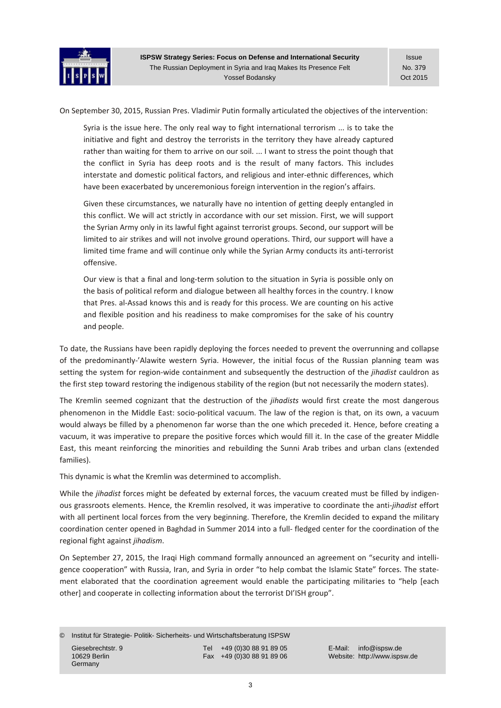

On September 30, 2015, Russian Pres. Vladimir Putin formally articulated the objectives of the intervention:

Syria is the issue here. The only real way to fight international terrorism ... is to take the initiative and fight and destroy the terrorists in the territory they have already captured rather than waiting for them to arrive on our soil. ... I want to stress the point though that the conflict in Syria has deep roots and is the result of many factors. This includes interstate and domestic political factors, and religious and inter‐ethnic differences, which have been exacerbated by unceremonious foreign intervention in the region's affairs.

Given these circumstances, we naturally have no intention of getting deeply entangled in this conflict. We will act strictly in accordance with our set mission. First, we will support the Syrian Army only in its lawful fight against terrorist groups. Second, our support will be limited to air strikes and will not involve ground operations. Third, our support will have a limited time frame and will continue only while the Syrian Army conducts its anti-terrorist offensive.

Our view is that a final and long‐term solution to the situation in Syria is possible only on the basis of political reform and dialogue between all healthy forces in the country. I know that Pres. al‐Assad knows this and is ready for this process. We are counting on his active and flexible position and his readiness to make compromises for the sake of his country and people.

To date, the Russians have been rapidly deploying the forces needed to prevent the overrunning and collapse of the predominantly-'Alawite western Syria. However, the initial focus of the Russian planning team was setting the system for region‐wide containment and subsequently the destruction of the *jihadist* cauldron as the first step toward restoring the indigenous stability of the region (but not necessarily the modern states).

The Kremlin seemed cognizant that the destruction of the *jihadists* would first create the most dangerous phenomenon in the Middle East: socio‐political vacuum. The law of the region is that, on its own, a vacuum would always be filled by a phenomenon far worse than the one which preceded it. Hence, before creating a vacuum, it was imperative to prepare the positive forces which would fill it. In the case of the greater Middle East, this meant reinforcing the minorities and rebuilding the Sunni Arab tribes and urban clans (extended families).

This dynamic is what the Kremlin was determined to accomplish.

While the *jihadist* forces might be defeated by external forces, the vacuum created must be filled by indigenous grassroots elements. Hence, the Kremlin resolved, it was imperative to coordinate the anti‐*jihadist* effort with all pertinent local forces from the very beginning. Therefore, the Kremlin decided to expand the military coordination center opened in Baghdad in Summer 2014 into a full‐ fledged center for the coordination of the regional fight against *jihadism*.

On September 27, 2015, the Iraqi High command formally announced an agreement on "security and intelli‐ gence cooperation" with Russia, Iran, and Syria in order "to help combat the Islamic State" forces. The state‐ ment elaborated that the coordination agreement would enable the participating militaries to "help [each other] and cooperate in collecting information about the terrorist DI'ISH group".

© Institut für Strategie- Politik- Sicherheits- und Wirtschaftsberatung ISPSW Giesebrechtstr. 9 Tel +49 (0)30 88 91 89 05 E-Mail: info@ispsw.de<br>10629 Berlin 10629 Berlin Communication Care +49 (0)30 88 91 89 06 Website: http://www.isps Germany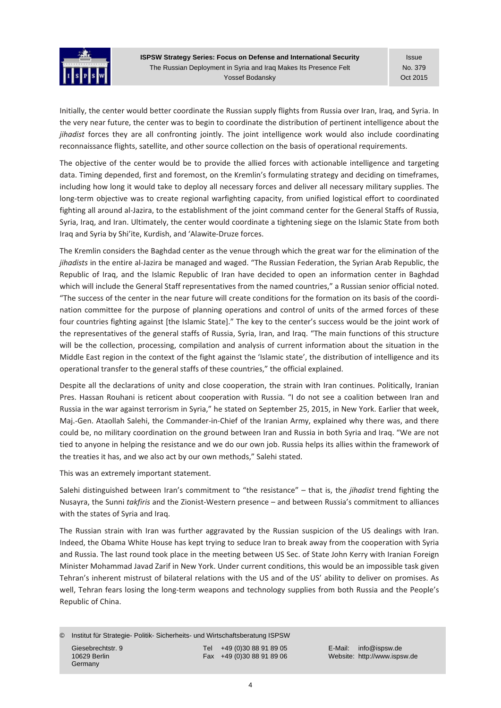

Issue No. 379 Oct 2015

Initially, the center would better coordinate the Russian supply flights from Russia over Iran, Iraq, and Syria. In the very near future, the center was to begin to coordinate the distribution of pertinent intelligence about the *jihadist* forces they are all confronting jointly. The joint intelligence work would also include coordinating reconnaissance flights, satellite, and other source collection on the basis of operational requirements.

The objective of the center would be to provide the allied forces with actionable intelligence and targeting data. Timing depended, first and foremost, on the Kremlin's formulating strategy and deciding on timeframes, including how long it would take to deploy all necessary forces and deliver all necessary military supplies. The long‐term objective was to create regional warfighting capacity, from unified logistical effort to coordinated fighting all around al‐Jazira, to the establishment of the joint command center for the General Staffs of Russia, Syria, Iraq, and Iran. Ultimately, the center would coordinate a tightening siege on the Islamic State from both Iraq and Syria by Shi'ite, Kurdish, and 'Alawite‐Druze forces.

The Kremlin considers the Baghdad center as the venue through which the great war for the elimination of the *jihadists* in the entire al‐Jazira be managed and waged. "The Russian Federation, the Syrian Arab Republic, the Republic of Iraq, and the Islamic Republic of Iran have decided to open an information center in Baghdad which will include the General Staff representatives from the named countries," a Russian senior official noted. "The success of the center in the near future will create conditions for the formation on its basis of the coordi‐ nation committee for the purpose of planning operations and control of units of the armed forces of these four countries fighting against [the Islamic State]." The key to the center's success would be the joint work of the representatives of the general staffs of Russia, Syria, Iran, and Iraq. "The main functions of this structure will be the collection, processing, compilation and analysis of current information about the situation in the Middle East region in the context of the fight against the 'Islamic state', the distribution of intelligence and its operational transfer to the general staffs of these countries," the official explained.

Despite all the declarations of unity and close cooperation, the strain with Iran continues. Politically, Iranian Pres. Hassan Rouhani is reticent about cooperation with Russia. "I do not see a coalition between Iran and Russia in the war against terrorism in Syria," he stated on September 25, 2015, in New York. Earlier that week, Maj.-Gen. Ataollah Salehi, the Commander-in-Chief of the Iranian Army, explained why there was, and there could be, no military coordination on the ground between Iran and Russia in both Syria and Iraq. "We are not tied to anyone in helping the resistance and we do our own job. Russia helps its allies within the framework of the treaties it has, and we also act by our own methods," Salehi stated.

This was an extremely important statement.

Salehi distinguished between Iran's commitment to "the resistance" – that is, the *jihadist* trend fighting the Nusayra, the Sunni *takfiris* and the Zionist‐Western presence – and between Russia's commitment to alliances with the states of Syria and Iraq.

The Russian strain with Iran was further aggravated by the Russian suspicion of the US dealings with Iran. Indeed, the Obama White House has kept trying to seduce Iran to break away from the cooperation with Syria and Russia. The last round took place in the meeting between US Sec. of State John Kerry with Iranian Foreign Minister Mohammad Javad Zarif in New York. Under current conditions, this would be an impossible task given Tehran's inherent mistrust of bilateral relations with the US and of the US' ability to deliver on promises. As well, Tehran fears losing the long-term weapons and technology supplies from both Russia and the People's Republic of China.

© Institut für Strategie- Politik- Sicherheits- und Wirtschaftsberatung ISPSW Giesebrechtstr. 9 Tel +49 (0)30 88 91 89 05 E-Mail: info@ispsw.de<br>10629 Berlin 10629 Berlin Fax +49 (0)30 88 91 89 06 Website: http://www.isps Germany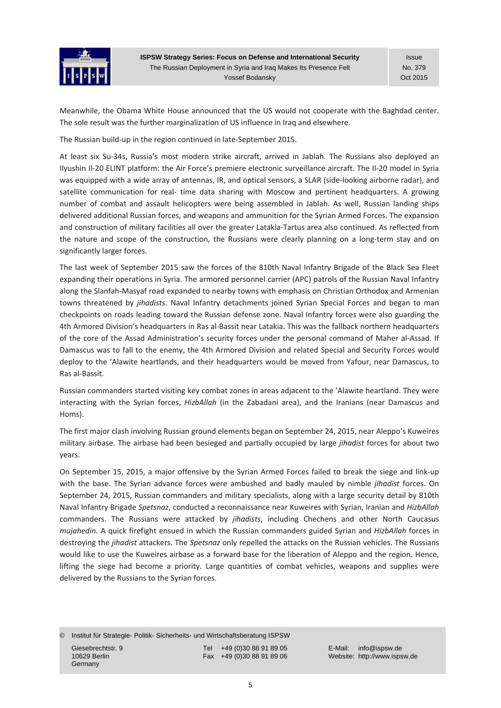

Issue No. 379 Oct 2015

Meanwhile, the Obama White House announced that the US would not cooperate with the Baghdad center. The sole result was the further marginalization of US influence in Iraq and elsewhere.

The Russian build‐up in the region continued in late‐September 2015.

At least six Su‐34s, Russia's most modern strike aircraft, arrived in Jablah. The Russians also deployed an Ilyushin Il‐20 ELINT platform: the Air Force's premiere electronic surveillance aircraft. The Il‐20 model in Syria was equipped with a wide array of antennas, IR, and optical sensors, a SLAR (side‐looking airborne radar), and satellite communication for real- time data sharing with Moscow and pertinent headquarters. A growing number of combat and assault helicopters were being assembled in Jablah. As well, Russian landing ships delivered additional Russian forces, and weapons and ammunition for the Syrian Armed Forces. The expansion and construction of military facilities all over the greater Latakia‐Tartus area also continued. As reflected from the nature and scope of the construction, the Russians were clearly planning on a long-term stay and on significantly larger forces.

The last week of September 2015 saw the forces of the 810th Naval Infantry Brigade of the Black Sea Fleet expanding their operations in Syria. The armored personnel carrier (APC) patrols of the Russian Naval Infantry along the Slanfah‐Masyaf road expanded to nearby towns with emphasis on Christian Orthodox and Armenian towns threatened by *jihadists*. Naval Infantry detachments joined Syrian Special Forces and began to man checkpoints on roads leading toward the Russian defense zone. Naval Infantry forces were also guarding the 4th Armored Division's headquarters in Ras al‐Bassit near Latakia. This was the fallback northern headquarters of the core of the Assad Administration's security forces under the personal command of Maher al‐Assad. If Damascus was to fall to the enemy, the 4th Armored Division and related Special and Security Forces would deploy to the 'Alawite heartlands, and their headquarters would be moved from Yafour, near Damascus, to Ras al‐Bassit.

Russian commanders started visiting key combat zones in areas adjacent to the 'Alawite heartland. They were interacting with the Syrian forces, *HizbAllah* (in the Zabadani area), and the Iranians (near Damascus and Homs).

The first major clash involving Russian ground elements began on September 24, 2015, near Aleppo's Kuweires military airbase. The airbase had been besieged and partially occupied by large *jihadist* forces for about two years.

On September 15, 2015, a major offensive by the Syrian Armed Forces failed to break the siege and link‐up with the base. The Syrian advance forces were ambushed and badly mauled by nimble *jihadist* forces. On September 24, 2015, Russian commanders and military specialists, along with a large security detail by 810th Naval Infantry Brigade *Spetsnaz*, conducted a reconnaissance near Kuweires with Syrian, Iranian and *HizbAllah* commanders. The Russians were attacked by *jihadists*, including Chechens and other North Caucasus *mujahedin*. A quick firefight ensued in which the Russian commanders guided Syrian and *HizbAllah* forces in destroying the *jihadist* attackers. The *Spetsnaz* only repelled the attacks on the Russian vehicles. The Russians would like to use the Kuweires airbase as a forward base for the liberation of Aleppo and the region. Hence, lifting the siege had become a priority. Large quantities of combat vehicles, weapons and supplies were delivered by the Russians to the Syrian forces.

© Institut für Strategie- Politik- Sicherheits- und Wirtschaftsberatung ISPSW

Germany

Giesebrechtstr. 9 Tel +49 (0)30 88 91 89 05 E-Mail: info@ispsw.de<br>10629 Berlin 10629 Berlin Communication Care +49 (0)30 88 91 89 06 Website: http://www.isps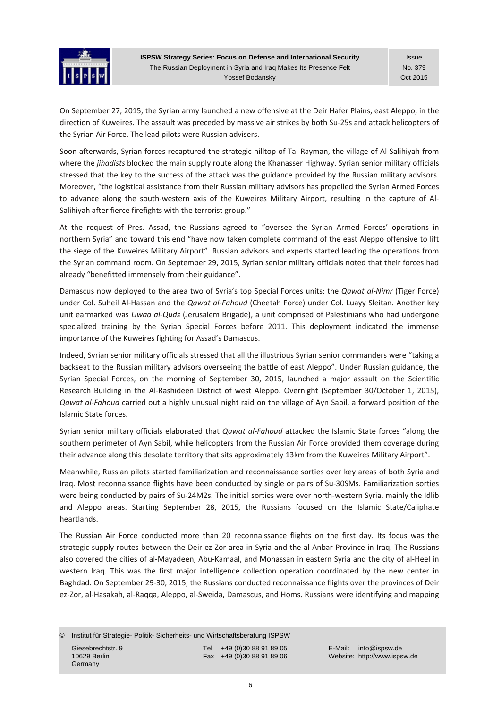

Issue No. 379 Oct 2015

On September 27, 2015, the Syrian army launched a new offensive at the Deir Hafer Plains, east Aleppo, in the direction of Kuweires. The assault was preceded by massive air strikes by both Su‐25s and attack helicopters of the Syrian Air Force. The lead pilots were Russian advisers.

Soon afterwards, Syrian forces recaptured the strategic hilltop of Tal Rayman, the village of Al‐Salihiyah from where the *jihadists* blocked the main supply route along the Khanasser Highway. Syrian senior military officials stressed that the key to the success of the attack was the guidance provided by the Russian military advisors. Moreover, "the logistical assistance from their Russian military advisors has propelled the Syrian Armed Forces to advance along the south‐western axis of the Kuweires Military Airport, resulting in the capture of Al‐ Salihiyah after fierce firefights with the terrorist group."

At the request of Pres. Assad, the Russians agreed to "oversee the Syrian Armed Forces' operations in northern Syria" and toward this end "have now taken complete command of the east Aleppo offensive to lift the siege of the Kuweires Military Airport". Russian advisors and experts started leading the operations from the Syrian command room. On September 29, 2015, Syrian senior military officials noted that their forces had already "benefitted immensely from their guidance".

Damascus now deployed to the area two of Syria's top Special Forces units: the *Qawat al‐Nimr* (Tiger Force) under Col. Suheil Al‐Hassan and the *Qawat al‐Fahoud* (Cheetah Force) under Col. Luayy Sleitan. Another key unit earmarked was *Liwaa al‐Quds* (Jerusalem Brigade), a unit comprised of Palestinians who had undergone specialized training by the Syrian Special Forces before 2011. This deployment indicated the immense importance of the Kuweires fighting for Assad's Damascus.

Indeed, Syrian senior military officials stressed that all the illustrious Syrian senior commanders were "taking a backseat to the Russian military advisors overseeing the battle of east Aleppo". Under Russian guidance, the Syrian Special Forces, on the morning of September 30, 2015, launched a major assault on the Scientific Research Building in the Al‐Rashideen District of west Aleppo. Overnight (September 30/October 1, 2015), *Qawat al‐Fahoud* carried out a highly unusual night raid on the village of Ayn Sabil, a forward position of the Islamic State forces.

Syrian senior military officials elaborated that *Qawat al‐Fahoud* attacked the Islamic State forces "along the southern perimeter of Ayn Sabil, while helicopters from the Russian Air Force provided them coverage during their advance along this desolate territory that sits approximately 13km from the Kuweires Military Airport".

Meanwhile, Russian pilots started familiarization and reconnaissance sorties over key areas of both Syria and Iraq. Most reconnaissance flights have been conducted by single or pairs of Su‐30SMs. Familiarization sorties were being conducted by pairs of Su-24M2s. The initial sorties were over north-western Syria, mainly the Idlib and Aleppo areas. Starting September 28, 2015, the Russians focused on the Islamic State/Caliphate heartlands.

The Russian Air Force conducted more than 20 reconnaissance flights on the first day. Its focus was the strategic supply routes between the Deir ez‐Zor area in Syria and the al‐Anbar Province in Iraq. The Russians also covered the cities of al‐Mayadeen, Abu‐Kamaal, and Mohassan in eastern Syria and the city of al‐Heel in western Iraq. This was the first major intelligence collection operation coordinated by the new center in Baghdad. On September 29‐30, 2015, the Russians conducted reconnaissance flights over the provinces of Deir ez-Zor, al-Hasakah, al-Raqqa, Aleppo, al-Sweida, Damascus, and Homs. Russians were identifying and mapping

© Institut für Strategie- Politik- Sicherheits- und Wirtschaftsberatung ISPSW Giesebrechtstr. 9 Tel +49 (0)30 88 91 89 05 E-Mail: info@ispsw.de<br>10629 Berlin 10629 Berlin Fax +49 (0)30 88 91 89 06 Website: http://www.isps Germany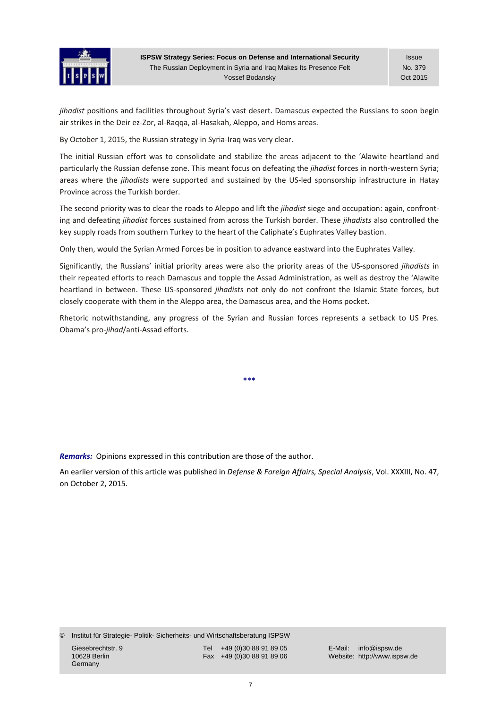

Issue No. 379 Oct 2015

*jihadist* positions and facilities throughout Syria's vast desert. Damascus expected the Russians to soon begin air strikes in the Deir ez‐Zor, al‐Raqqa, al‐Hasakah, Aleppo, and Homs areas.

By October 1, 2015, the Russian strategy in Syria-Iraq was very clear.

The initial Russian effort was to consolidate and stabilize the areas adjacent to the 'Alawite heartland and particularly the Russian defense zone. This meant focus on defeating the *jihadist* forces in north-western Syria; areas where the *jihadists* were supported and sustained by the US‐led sponsorship infrastructure in Hatay Province across the Turkish border.

The second priority was to clear the roads to Aleppo and lift the *jihadist* siege and occupation: again, confront‐ ing and defeating *jihadist* forces sustained from across the Turkish border. These *jihadists* also controlled the key supply roads from southern Turkey to the heart of the Caliphate's Euphrates Valley bastion.

Only then, would the Syrian Armed Forces be in position to advance eastward into the Euphrates Valley.

Significantly, the Russians' initial priority areas were also the priority areas of the US‐sponsored *jihadists* in their repeated efforts to reach Damascus and topple the Assad Administration, as well as destroy the 'Alawite heartland in between. These US‐sponsored *jihadists* not only do not confront the Islamic State forces, but closely cooperate with them in the Aleppo area, the Damascus area, and the Homs pocket.

Rhetoric notwithstanding, any progress of the Syrian and Russian forces represents a setback to US Pres. Obama's pro‐*jihad*/anti‐Assad efforts.

**\*\*\***

*Remarks:* Opinions expressed in this contribution are those of the author.

An earlier version of this article was published in *Defense & Foreign Affairs, Special Analysis*, Vol. XXXIII, No. 47, on October 2, 2015.

© Institut für Strategie- Politik- Sicherheits- und Wirtschaftsberatung ISPSW

Germany

Giesebrechtstr. 9 Tel +49 (0)30 88 91 89 05 E-Mail: info@ispsw.de<br>10629 Berlin 10629 Berlin Fax +49 (0)30 88 91 89 06 Website: http://www.isps